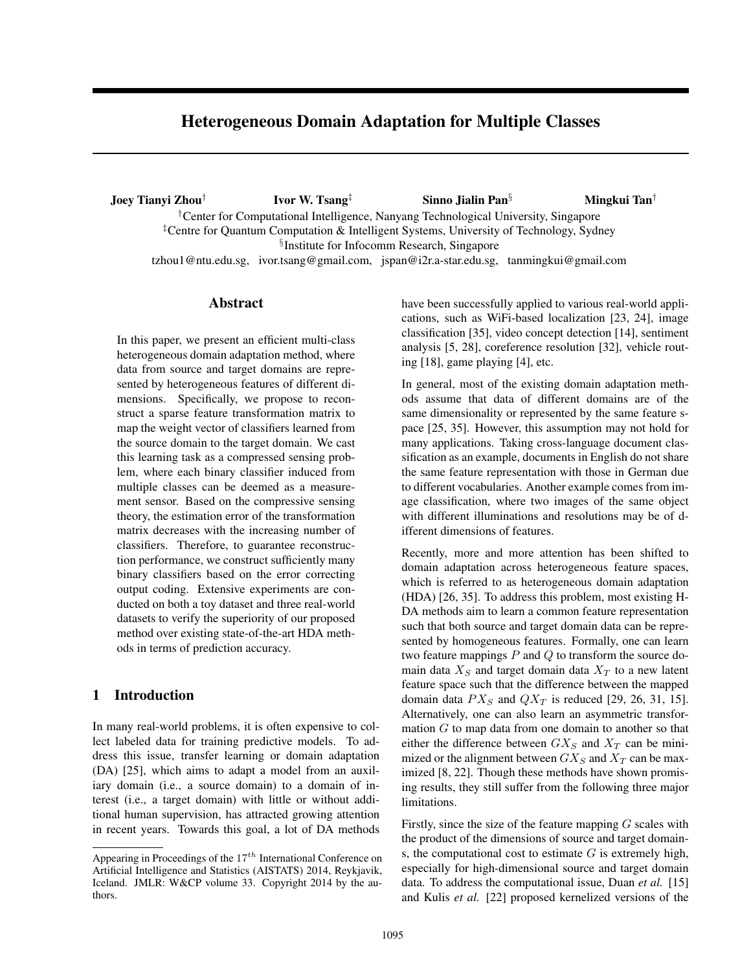# Heterogeneous Domain Adaptation for Multiple Classes

Joey Tianyi Zhou*†* Ivor W. Tsang*‡* Sinno Jialin Pan*§* Mingkui Tan*† †*Center for Computational Intelligence, Nanyang Technological University, Singapore *‡*Centre for Quantum Computation & Intelligent Systems, University of Technology, Sydney *§* Institute for Infocomm Research, Singapore tzhou1@ntu.edu.sg, ivor.tsang@gmail.com, jspan@i2r.a-star.edu.sg, tanmingkui@gmail.com

## Abstract

In this paper, we present an efficient multi-class heterogeneous domain adaptation method, where data from source and target domains are represented by heterogeneous features of different dimensions. Specifically, we propose to reconstruct a sparse feature transformation matrix to map the weight vector of classifiers learned from the source domain to the target domain. We cast this learning task as a compressed sensing problem, where each binary classifier induced from multiple classes can be deemed as a measurement sensor. Based on the compressive sensing theory, the estimation error of the transformation matrix decreases with the increasing number of classifiers. Therefore, to guarantee reconstruction performance, we construct sufficiently many binary classifiers based on the error correcting output coding. Extensive experiments are conducted on both a toy dataset and three real-world datasets to verify the superiority of our proposed method over existing state-of-the-art HDA methods in terms of prediction accuracy.

# 1 Introduction

In many real-world problems, it is often expensive to collect labeled data for training predictive models. To address this issue, transfer learning or domain adaptation (DA) [25], which aims to adapt a model from an auxiliary domain (i.e., a source domain) to a domain of interest (i.e., a target domain) with little or without additional human supervision, has attracted growing attention in recent years. Towards this goal, a lot of DA methods have been successfully applied to various real-world applications, such as WiFi-based localization [23, 24], image classification [35], video concept detection [14], sentiment analysis [5, 28], coreference resolution [32], vehicle routing [18], game playing [4], etc.

In general, most of the existing domain adaptation methods assume that data of different domains are of the same dimensionality or represented by the same feature space [25, 35]. However, this assumption may not hold for many applications. Taking cross-language document classification as an example, documents in English do not share the same feature representation with those in German due to different vocabularies. Another example comes from image classification, where two images of the same object with different illuminations and resolutions may be of different dimensions of features.

Recently, more and more attention has been shifted to domain adaptation across heterogeneous feature spaces, which is referred to as heterogeneous domain adaptation (HDA) [26, 35]. To address this problem, most existing H-DA methods aim to learn a common feature representation such that both source and target domain data can be represented by homogeneous features. Formally, one can learn two feature mappings *P* and *Q* to transform the source domain data  $X<sub>S</sub>$  and target domain data  $X<sub>T</sub>$  to a new latent feature space such that the difference between the mapped domain data  $PX<sub>S</sub>$  and  $QX<sub>T</sub>$  is reduced [29, 26, 31, 15]. Alternatively, one can also learn an asymmetric transformation *G* to map data from one domain to another so that either the difference between  $GX_S$  and  $X_T$  can be minimized or the alignment between  $GX_S$  and  $X_T$  can be maximized [8, 22]. Though these methods have shown promising results, they still suffer from the following three major limitations.

Firstly, since the size of the feature mapping *G* scales with the product of the dimensions of source and target domains, the computational cost to estimate *G* is extremely high, especially for high-dimensional source and target domain data. To address the computational issue, Duan *et al.* [15] and Kulis *et al.* [22] proposed kernelized versions of the

Appearing in Proceedings of the 17*th* International Conference on Artificial Intelligence and Statistics (AISTATS) 2014, Reykjavik, Iceland. JMLR: W&CP volume 33. Copyright 2014 by the authors.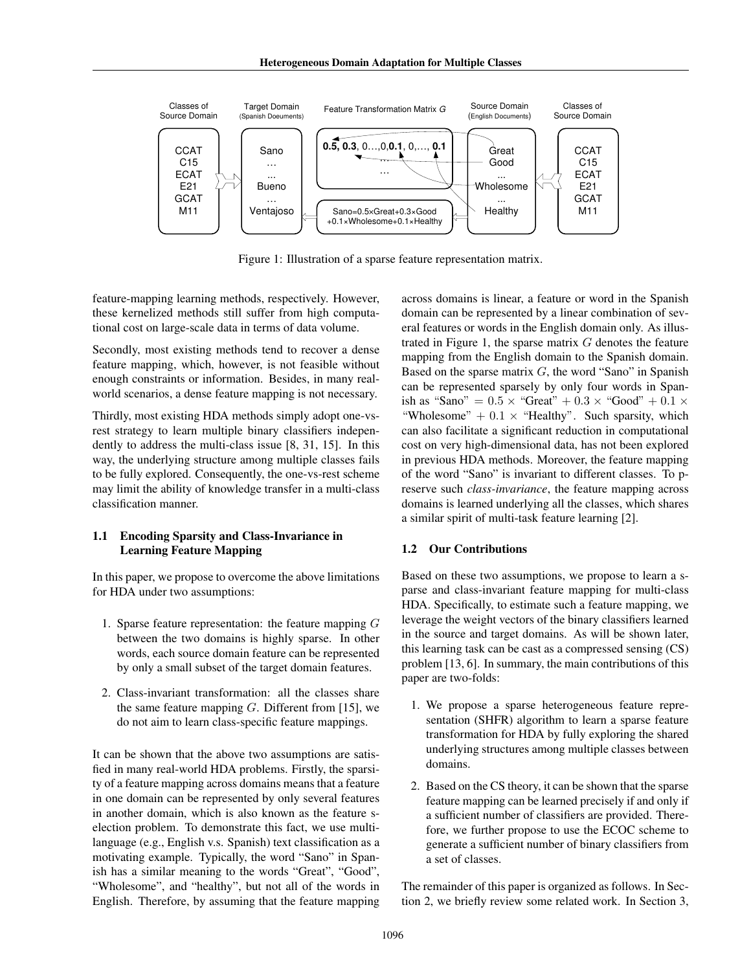Heterogeneous Domain Adaptation for Multiple Classes



Figure 1: Illustration of a sparse feature representation matrix.

feature-mapping learning methods, respectively. However, these kernelized methods still suffer from high computational cost on large-scale data in terms of data volume.

Secondly, most existing methods tend to recover a dense feature mapping, which, however, is not feasible without enough constraints or information. Besides, in many realworld scenarios, a dense feature mapping is not necessary.

Thirdly, most existing HDA methods simply adopt one-vsrest strategy to learn multiple binary classifiers independently to address the multi-class issue [8, 31, 15]. In this way, the underlying structure among multiple classes fails to be fully explored. Consequently, the one-vs-rest scheme may limit the ability of knowledge transfer in a multi-class classification manner.

### 1.1 Encoding Sparsity and Class-Invariance in Learning Feature Mapping

In this paper, we propose to overcome the above limitations for HDA under two assumptions:

- 1. Sparse feature representation: the feature mapping *G* between the two domains is highly sparse. In other words, each source domain feature can be represented by only a small subset of the target domain features.
- 2. Class-invariant transformation: all the classes share the same feature mapping *G*. Different from [15], we do not aim to learn class-specific feature mappings.

It can be shown that the above two assumptions are satisfied in many real-world HDA problems. Firstly, the sparsity of a feature mapping across domains means that a feature in one domain can be represented by only several features in another domain, which is also known as the feature selection problem. To demonstrate this fact, we use multilanguage (e.g., English v.s. Spanish) text classification as a motivating example. Typically, the word "Sano" in Spanish has a similar meaning to the words "Great", "Good", "Wholesome", and "healthy", but not all of the words in English. Therefore, by assuming that the feature mapping

across domains is linear, a feature or word in the Spanish domain can be represented by a linear combination of several features or words in the English domain only. As illustrated in Figure 1, the sparse matrix *G* denotes the feature mapping from the English domain to the Spanish domain. Based on the sparse matrix *G*, the word "Sano" in Spanish can be represented sparsely by only four words in Spanish as "Sano" =  $0.5 \times$  "Great" +  $0.3 \times$  "Good" +  $0.1 \times$ "Wholesome"  $+ 0.1 \times$  "Healthy". Such sparsity, which can also facilitate a significant reduction in computational cost on very high-dimensional data, has not been explored in previous HDA methods. Moreover, the feature mapping of the word "Sano" is invariant to different classes. To preserve such *class-invariance*, the feature mapping across domains is learned underlying all the classes, which shares a similar spirit of multi-task feature learning [2].

### 1.2 Our Contributions

Based on these two assumptions, we propose to learn a sparse and class-invariant feature mapping for multi-class HDA. Specifically, to estimate such a feature mapping, we leverage the weight vectors of the binary classifiers learned in the source and target domains. As will be shown later, this learning task can be cast as a compressed sensing (CS) problem [13, 6]. In summary, the main contributions of this paper are two-folds:

- 1. We propose a sparse heterogeneous feature representation (SHFR) algorithm to learn a sparse feature transformation for HDA by fully exploring the shared underlying structures among multiple classes between domains.
- 2. Based on the CS theory, it can be shown that the sparse feature mapping can be learned precisely if and only if a sufficient number of classifiers are provided. Therefore, we further propose to use the ECOC scheme to generate a sufficient number of binary classifiers from a set of classes.

The remainder of this paper is organized as follows. In Section 2, we briefly review some related work. In Section 3,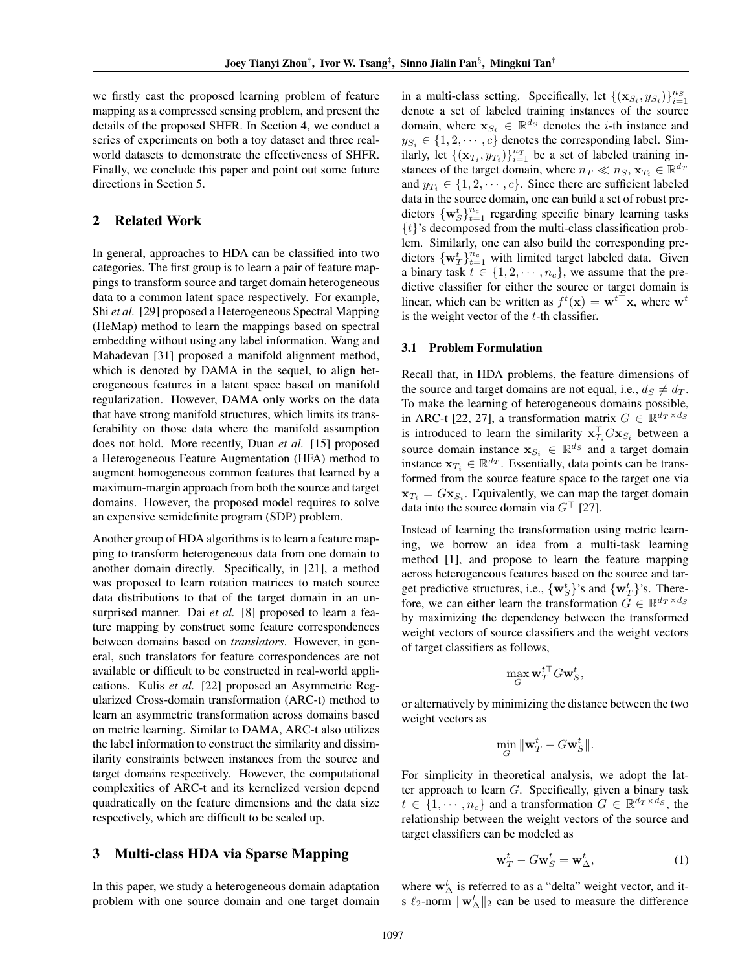we firstly cast the proposed learning problem of feature mapping as a compressed sensing problem, and present the details of the proposed SHFR. In Section 4, we conduct a series of experiments on both a toy dataset and three realworld datasets to demonstrate the effectiveness of SHFR. Finally, we conclude this paper and point out some future directions in Section 5.

### 2 Related Work

In general, approaches to HDA can be classified into two categories. The first group is to learn a pair of feature mappings to transform source and target domain heterogeneous data to a common latent space respectively. For example, Shi *et al.* [29] proposed a Heterogeneous Spectral Mapping (HeMap) method to learn the mappings based on spectral embedding without using any label information. Wang and Mahadevan [31] proposed a manifold alignment method, which is denoted by DAMA in the sequel, to align heterogeneous features in a latent space based on manifold regularization. However, DAMA only works on the data that have strong manifold structures, which limits its transferability on those data where the manifold assumption does not hold. More recently, Duan *et al.* [15] proposed a Heterogeneous Feature Augmentation (HFA) method to augment homogeneous common features that learned by a maximum-margin approach from both the source and target domains. However, the proposed model requires to solve an expensive semidefinite program (SDP) problem.

Another group of HDA algorithms is to learn a feature mapping to transform heterogeneous data from one domain to another domain directly. Specifically, in [21], a method was proposed to learn rotation matrices to match source data distributions to that of the target domain in an unsurprised manner. Dai *et al.* [8] proposed to learn a feature mapping by construct some feature correspondences between domains based on *translators*. However, in general, such translators for feature correspondences are not available or difficult to be constructed in real-world applications. Kulis *et al.* [22] proposed an Asymmetric Regularized Cross-domain transformation (ARC-t) method to learn an asymmetric transformation across domains based on metric learning. Similar to DAMA, ARC-t also utilizes the label information to construct the similarity and dissimilarity constraints between instances from the source and target domains respectively. However, the computational complexities of ARC-t and its kernelized version depend quadratically on the feature dimensions and the data size respectively, which are difficult to be scaled up.

### 3 Multi-class HDA via Sparse Mapping

In this paper, we study a heterogeneous domain adaptation problem with one source domain and one target domain

in a multi-class setting. Specifically, let  $\{(\mathbf{x}_{S_i}, y_{S_i})\}_{i=1}^{n_S}$ denote a set of labeled training instances of the source domain, where  $\mathbf{x}_{S_i} \in \mathbb{R}^{d_S}$  denotes the *i*-th instance and  $y_{S_i} \in \{1, 2, \dots, c\}$  denotes the corresponding label. Similarly, let  $\{(\mathbf{x}_{T_i}, y_{T_i})\}_{i=1}^{n_T}$  be a set of labeled training instances of the target domain, where  $n_T \ll n_S$ ,  $\mathbf{x}_{T_i} \in \mathbb{R}^{d_T}$ and  $y_{T_i} \in \{1, 2, \dots, c\}$ . Since there are sufficient labeled data in the source domain, one can build a set of robust predictors  $\{w_S^t\}_{t=1}^{n_c}$  regarding specific binary learning tasks *{t}*'s decomposed from the multi-class classification problem. Similarly, one can also build the corresponding predictors  $\{w_T^t\}_{t=1}^{n_c}$  with limited target labeled data. Given a binary task  $t \in \{1, 2, \dots, n_c\}$ , we assume that the predictive classifier for either the source or target domain is linear, which can be written as  $f^t(\mathbf{x}) = \mathbf{w}^{t\top}\mathbf{x}$ , where  $\mathbf{w}^t$ is the weight vector of the *t*-th classifier.

#### 3.1 Problem Formulation

Recall that, in HDA problems, the feature dimensions of the source and target domains are not equal, i.e.,  $d_S \neq d_T$ . To make the learning of heterogeneous domains possible, in ARC-t [22, 27], a transformation matrix  $G \in \mathbb{R}^{d_T \times d_S}$ is introduced to learn the similarity  $\mathbf{x}_{T_i}^{\perp}G\mathbf{x}_{S_i}$  between a source domain instance  $\mathbf{x}_{S_i} \in \mathbb{R}^{d_S}$  and a target domain instance  $\mathbf{x}_{T_i} \in \mathbb{R}^{d_T}$ . Essentially, data points can be transformed from the source feature space to the target one via  $\mathbf{x}_{T_i} = G \mathbf{x}_{S_i}$ . Equivalently, we can map the target domain data into the source domain via  $G<sup>†</sup>$  [27].

Instead of learning the transformation using metric learning, we borrow an idea from a multi-task learning method [1], and propose to learn the feature mapping across heterogeneous features based on the source and target predictive structures, i.e.,  $\{w_S^t\}$ 's and  $\{w_T^t\}$ 's. Therefore, we can either learn the transformation  $G \in \mathbb{R}^{d_T \times d_S}$ by maximizing the dependency between the transformed weight vectors of source classifiers and the weight vectors of target classifiers as follows,

$$
\max_G \mathbf{w}_T^{t\top} G\mathbf{w}_S^t,
$$

or alternatively by minimizing the distance between the two weight vectors as

$$
\min_G \|\mathbf{w}_T^t - G\mathbf{w}_S^t\|.
$$

For simplicity in theoretical analysis, we adopt the latter approach to learn *G*. Specifically, given a binary task  $t \in \{1, \dots, n_c\}$  and a transformation  $G \in \mathbb{R}^{d_T \times d_S}$ , the relationship between the weight vectors of the source and target classifiers can be modeled as

$$
\mathbf{w}_T^t - G\mathbf{w}_S^t = \mathbf{w}_\Delta^t,\tag{1}
$$

where  $\mathbf{w}_{\Delta}^{t}$  is referred to as a "delta" weight vector, and its *ℓ*2-norm *∥***w***<sup>t</sup>* <sup>∆</sup>*∥*<sup>2</sup> can be used to measure the difference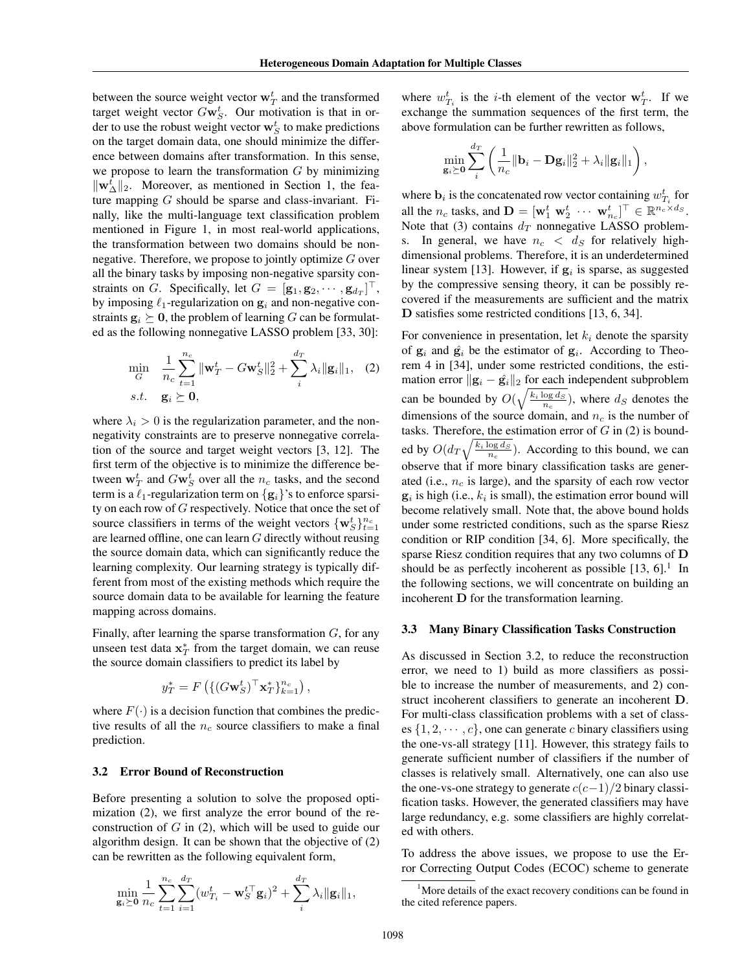between the source weight vector  $\mathbf{w}_T^t$  and the transformed target weight vector  $Gw_S^t$ . Our motivation is that in order to use the robust weight vector  $\mathbf{w}_S^t$  to make predictions on the target domain data, one should minimize the difference between domains after transformation. In this sense, we propose to learn the transformation *G* by minimizing *∥***w***<sup>t</sup>* <sup>∆</sup>*∥*2. Moreover, as mentioned in Section 1, the feature mapping *G* should be sparse and class-invariant. Finally, like the multi-language text classification problem mentioned in Figure 1, in most real-world applications, the transformation between two domains should be nonnegative. Therefore, we propose to jointly optimize *G* over all the binary tasks by imposing non-negative sparsity constraints on *G*. Specifically, let  $G = [\mathbf{g}_1, \mathbf{g}_2, \cdots, \mathbf{g}_{d_T}]^\top$ , by imposing *ℓ*1-regularization on **g***<sup>i</sup>* and non-negative constraints  $\mathbf{g}_i \succeq \mathbf{0}$ , the problem of learning *G* can be formulated as the following nonnegative LASSO problem [33, 30]:

$$
\min_{G} \quad \frac{1}{n_c} \sum_{t=1}^{n_c} \|\mathbf{w}_T^t - G\mathbf{w}_S^t\|_2^2 + \sum_i^{d_T} \lambda_i \|\mathbf{g}_i\|_1, \quad (2)
$$
  
s.t. 
$$
\mathbf{g}_i \succeq \mathbf{0},
$$

where  $\lambda_i > 0$  is the regularization parameter, and the nonnegativity constraints are to preserve nonnegative correlation of the source and target weight vectors [3, 12]. The first term of the objective is to minimize the difference between  $\mathbf{w}_T^t$  and  $G\mathbf{w}_S^t$  over all the *n<sub>c</sub>* tasks, and the second term is a  $\ell_1$ -regularization term on  $\{g_i\}$ 's to enforce sparsity on each row of *G* respectively. Notice that once the set of source classifiers in terms of the weight vectors  ${\mathbf \{w}_S^t\}}_{t=1}^{n_c}$ are learned offline, one can learn *G* directly without reusing the source domain data, which can significantly reduce the learning complexity. Our learning strategy is typically different from most of the existing methods which require the source domain data to be available for learning the feature mapping across domains.

Finally, after learning the sparse transformation *G*, for any unseen test data  $\mathbf{x}_T^*$  from the target domain, we can reuse the source domain classifiers to predict its label by

$$
y_T^* = F\left(\left\{ (G\mathbf{w}_S^t)^\top \mathbf{x}_T^* \right\}_{k=1}^{n_c} \right),
$$

where  $F(\cdot)$  is a decision function that combines the predictive results of all the *n<sup>c</sup>* source classifiers to make a final prediction.

#### 3.2 Error Bound of Reconstruction

Before presenting a solution to solve the proposed optimization (2), we first analyze the error bound of the reconstruction of *G* in (2), which will be used to guide our algorithm design. It can be shown that the objective of (2) can be rewritten as the following equivalent form,

$$
\min_{\mathbf{g}_i \succeq \mathbf{0}} \frac{1}{n_c} \sum_{t=1}^{n_c} \sum_{i=1}^{d_T} (w_{T_i}^t - \mathbf{w}_S^{t\top} \mathbf{g}_i)^2 + \sum_i^{d_T} \lambda_i \| \mathbf{g}_i \|_1,
$$

where  $w_{T_i}^t$  is the *i*-th element of the vector  $\mathbf{w}_T^t$ . If we exchange the summation sequences of the first term, the above formulation can be further rewritten as follows,

$$
\min_{\mathbf{g}_i \succeq \mathbf{0}} \sum_i^{d_T} \left( \frac{1}{n_c} \|\mathbf{b}_i - \mathbf{D} \mathbf{g}_i\|_2^2 + \lambda_i \|\mathbf{g}_i\|_1 \right),
$$

where  $\mathbf{b}_i$  is the concatenated row vector containing  $w_{T_i}^t$  for all the  $n_c$  tasks, and  $\mathbf{D} = [\mathbf{w}_1^t \ \mathbf{w}_2^t \ \cdots \ \mathbf{w}_{n_c}^t]^\top \in \mathbb{R}^{n_c \times d_S}$ . Note that (3) contains  $d_T$  nonnegative LASSO problems. In general, we have  $n_c < d_S$  for relatively highdimensional problems. Therefore, it is an underdetermined linear system [13]. However, if  $g_i$  is sparse, as suggested by the compressive sensing theory, it can be possibly recovered if the measurements are sufficient and the matrix **D** satisfies some restricted conditions [13, 6, 34].

For convenience in presentation, let  $k_i$  denote the sparsity of  $g_i$  and  $\hat{g_i}$  be the estimator of  $g_i$ . According to Theorem 4 in [34], under some restricted conditions, the estimation error  $||\mathbf{g}_i - \hat{\mathbf{g}}_i||_2$  for each independent subproblem can be bounded by  $O(\sqrt{\frac{k_i \log d_S}{n_c}})$ , where  $d_S$  denotes the dimensions of the source domain, and *n<sup>c</sup>* is the number of tasks. Therefore, the estimation error of *G* in (2) is bounded by  $O(d_T \sqrt{\frac{k_i \log d_S}{n_c}})$ . According to this bound, we can observe that if more binary classification tasks are generated (i.e., *n<sup>c</sup>* is large), and the sparsity of each row vector  $g_i$  is high (i.e.,  $k_i$  is small), the estimation error bound will become relatively small. Note that, the above bound holds under some restricted conditions, such as the sparse Riesz condition or RIP condition [34, 6]. More specifically, the sparse Riesz condition requires that any two columns of **D** should be as perfectly incoherent as possible  $[13, 6]$ .<sup>1</sup> In the following sections, we will concentrate on building an incoherent **D** for the transformation learning.

#### 3.3 Many Binary Classification Tasks Construction

As discussed in Section 3.2, to reduce the reconstruction error, we need to 1) build as more classifiers as possible to increase the number of measurements, and 2) construct incoherent classifiers to generate an incoherent **D**. For multi-class classification problems with a set of classes  $\{1, 2, \dots, c\}$ , one can generate *c* binary classifiers using the one-vs-all strategy [11]. However, this strategy fails to generate sufficient number of classifiers if the number of classes is relatively small. Alternatively, one can also use the one-vs-one strategy to generate *c*(*c−*1)*/*2 binary classification tasks. However, the generated classifiers may have large redundancy, e.g. some classifiers are highly correlated with others.

To address the above issues, we propose to use the Error Correcting Output Codes (ECOC) scheme to generate

 $1<sup>1</sup>$ More details of the exact recovery conditions can be found in the cited reference papers.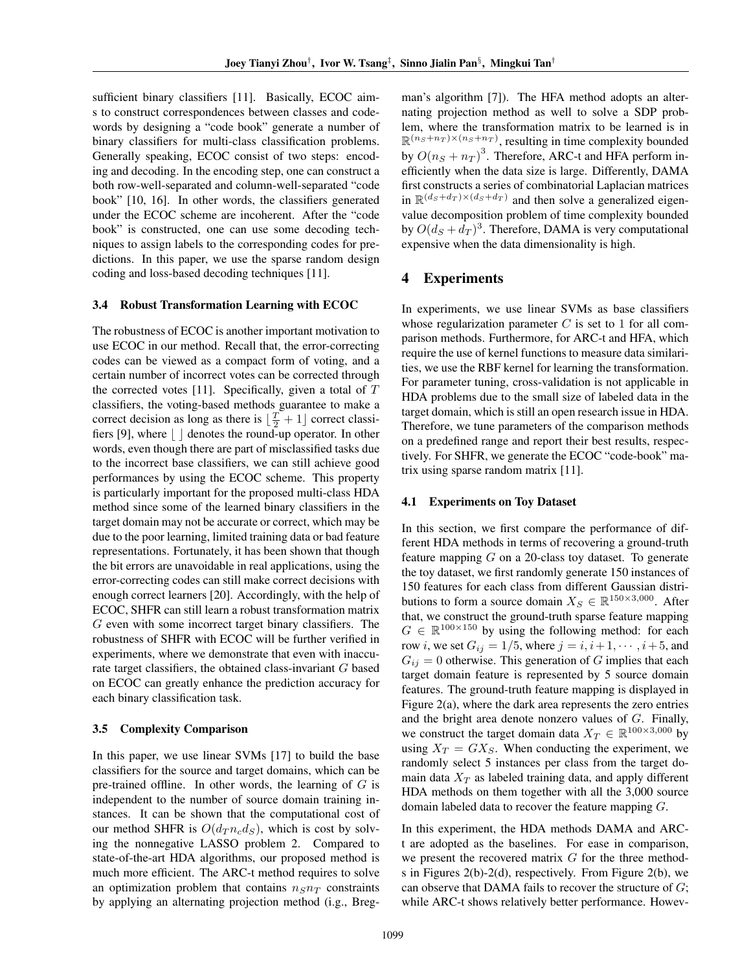sufficient binary classifiers [11]. Basically, ECOC aims to construct correspondences between classes and codewords by designing a "code book" generate a number of binary classifiers for multi-class classification problems. Generally speaking, ECOC consist of two steps: encoding and decoding. In the encoding step, one can construct a both row-well-separated and column-well-separated "code book" [10, 16]. In other words, the classifiers generated under the ECOC scheme are incoherent. After the "code book" is constructed, one can use some decoding techniques to assign labels to the corresponding codes for predictions. In this paper, we use the sparse random design coding and loss-based decoding techniques [11].

#### 3.4 Robust Transformation Learning with ECOC

The robustness of ECOC is another important motivation to use ECOC in our method. Recall that, the error-correcting codes can be viewed as a compact form of voting, and a certain number of incorrect votes can be corrected through the corrected votes [11]. Specifically, given a total of *T* classifiers, the voting-based methods guarantee to make a correct decision as long as there is  $\lfloor \frac{T}{2} + 1 \rfloor$  correct classifiers [9], where  $\vert \ \vert$  denotes the round-up operator. In other words, even though there are part of misclassified tasks due to the incorrect base classifiers, we can still achieve good performances by using the ECOC scheme. This property is particularly important for the proposed multi-class HDA method since some of the learned binary classifiers in the target domain may not be accurate or correct, which may be due to the poor learning, limited training data or bad feature representations. Fortunately, it has been shown that though the bit errors are unavoidable in real applications, using the error-correcting codes can still make correct decisions with enough correct learners [20]. Accordingly, with the help of ECOC, SHFR can still learn a robust transformation matrix *G* even with some incorrect target binary classifiers. The robustness of SHFR with ECOC will be further verified in experiments, where we demonstrate that even with inaccurate target classifiers, the obtained class-invariant *G* based on ECOC can greatly enhance the prediction accuracy for each binary classification task.

#### 3.5 Complexity Comparison

In this paper, we use linear SVMs [17] to build the base classifiers for the source and target domains, which can be pre-trained offline. In other words, the learning of *G* is independent to the number of source domain training instances. It can be shown that the computational cost of our method SHFR is  $O(d_T n_c d_S)$ , which is cost by solving the nonnegative LASSO problem 2. Compared to state-of-the-art HDA algorithms, our proposed method is much more efficient. The ARC-t method requires to solve an optimization problem that contains  $n_S n_T$  constraints by applying an alternating projection method (i.g., Breg-

man's algorithm [7]). The HFA method adopts an alternating projection method as well to solve a SDP problem, where the transformation matrix to be learned is in  $\mathbb{R}^{(n_S+n_T)\times(n_S+n_T)}$ , resulting in time complexity bounded by  $O(n<sub>S</sub> + n<sub>T</sub>)<sup>3</sup>$ . Therefore, ARC-t and HFA perform inefficiently when the data size is large. Differently, DAMA first constructs a series of combinatorial Laplacian matrices in  $\mathbb{R}^{(d_S+d_T)\times(d_S+d_T)}$  and then solve a generalized eigenvalue decomposition problem of time complexity bounded by  $O(d_S + d_T)^3$ . Therefore, DAMA is very computational expensive when the data dimensionality is high.

### 4 Experiments

In experiments, we use linear SVMs as base classifiers whose regularization parameter *C* is set to 1 for all comparison methods. Furthermore, for ARC-t and HFA, which require the use of kernel functions to measure data similarities, we use the RBF kernel for learning the transformation. For parameter tuning, cross-validation is not applicable in HDA problems due to the small size of labeled data in the target domain, which is still an open research issue in HDA. Therefore, we tune parameters of the comparison methods on a predefined range and report their best results, respectively. For SHFR, we generate the ECOC "code-book" matrix using sparse random matrix [11].

#### 4.1 Experiments on Toy Dataset

In this section, we first compare the performance of different HDA methods in terms of recovering a ground-truth feature mapping *G* on a 20-class toy dataset. To generate the toy dataset, we first randomly generate 150 instances of 150 features for each class from different Gaussian distributions to form a source domain  $X_S \in \mathbb{R}^{150 \times 3,000}$ . After that, we construct the ground-truth sparse feature mapping  $G \in \mathbb{R}^{100 \times 150}$  by using the following method: for each row *i*, we set  $G_{ij} = 1/5$ , where  $j = i, i + 1, \dots, i + 5$ , and  $G_{ij} = 0$  otherwise. This generation of *G* implies that each target domain feature is represented by 5 source domain features. The ground-truth feature mapping is displayed in Figure 2(a), where the dark area represents the zero entries and the bright area denote nonzero values of *G*. Finally, we construct the target domain data  $X_T \in \mathbb{R}^{100 \times 3,000}$  by using  $X_T = GX_S$ . When conducting the experiment, we randomly select 5 instances per class from the target domain data  $X_T$  as labeled training data, and apply different HDA methods on them together with all the 3,000 source domain labeled data to recover the feature mapping *G*.

In this experiment, the HDA methods DAMA and ARCt are adopted as the baselines. For ease in comparison, we present the recovered matrix *G* for the three methods in Figures 2(b)-2(d), respectively. From Figure 2(b), we can observe that DAMA fails to recover the structure of *G*; while ARC-t shows relatively better performance. Howev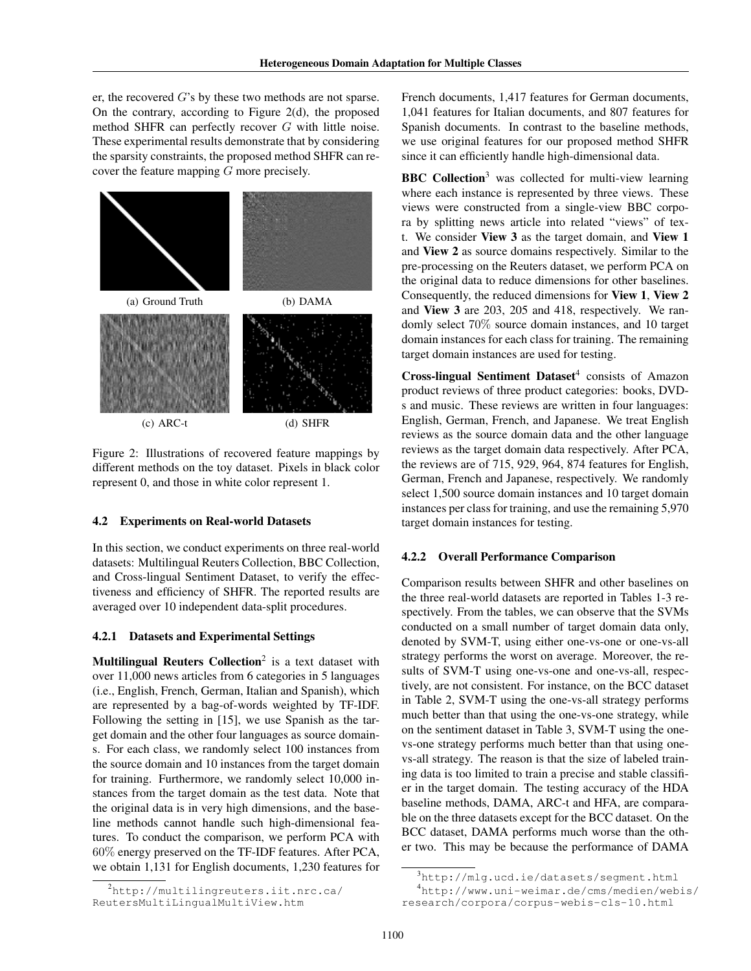er, the recovered *G*'s by these two methods are not sparse. On the contrary, according to Figure 2(d), the proposed method SHFR can perfectly recover *G* with little noise. These experimental results demonstrate that by considering the sparsity constraints, the proposed method SHFR can recover the feature mapping *G* more precisely.



Figure 2: Illustrations of recovered feature mappings by different methods on the toy dataset. Pixels in black color represent 0, and those in white color represent 1.

#### 4.2 Experiments on Real-world Datasets

In this section, we conduct experiments on three real-world datasets: Multilingual Reuters Collection, BBC Collection, and Cross-lingual Sentiment Dataset, to verify the effectiveness and efficiency of SHFR. The reported results are averaged over 10 independent data-split procedures.

#### 4.2.1 Datasets and Experimental Settings

Multilingual Reuters Collection<sup>2</sup> is a text dataset with over 11,000 news articles from 6 categories in 5 languages (i.e., English, French, German, Italian and Spanish), which are represented by a bag-of-words weighted by TF-IDF. Following the setting in [15], we use Spanish as the target domain and the other four languages as source domains. For each class, we randomly select 100 instances from the source domain and 10 instances from the target domain for training. Furthermore, we randomly select 10,000 instances from the target domain as the test data. Note that the original data is in very high dimensions, and the baseline methods cannot handle such high-dimensional features. To conduct the comparison, we perform PCA with 60% energy preserved on the TF-IDF features. After PCA, we obtain 1,131 for English documents, 1,230 features for French documents, 1,417 features for German documents, 1,041 features for Italian documents, and 807 features for Spanish documents. In contrast to the baseline methods, we use original features for our proposed method SHFR since it can efficiently handle high-dimensional data.

**BBC Collection**<sup>3</sup> was collected for multi-view learning where each instance is represented by three views. These views were constructed from a single-view BBC corpora by splitting news article into related "views" of text. We consider View 3 as the target domain, and View 1 and View 2 as source domains respectively. Similar to the pre-processing on the Reuters dataset, we perform PCA on the original data to reduce dimensions for other baselines. Consequently, the reduced dimensions for View 1, View 2 and View 3 are 203, 205 and 418, respectively. We randomly select 70% source domain instances, and 10 target domain instances for each class for training. The remaining target domain instances are used for testing.

Cross-lingual Sentiment Dataset<sup>4</sup> consists of Amazon product reviews of three product categories: books, DVDs and music. These reviews are written in four languages: English, German, French, and Japanese. We treat English reviews as the source domain data and the other language reviews as the target domain data respectively. After PCA, the reviews are of 715, 929, 964, 874 features for English, German, French and Japanese, respectively. We randomly select 1,500 source domain instances and 10 target domain instances per class for training, and use the remaining 5,970 target domain instances for testing.

### 4.2.2 Overall Performance Comparison

Comparison results between SHFR and other baselines on the three real-world datasets are reported in Tables 1-3 respectively. From the tables, we can observe that the SVMs conducted on a small number of target domain data only, denoted by SVM-T, using either one-vs-one or one-vs-all strategy performs the worst on average. Moreover, the results of SVM-T using one-vs-one and one-vs-all, respectively, are not consistent. For instance, on the BCC dataset in Table 2, SVM-T using the one-vs-all strategy performs much better than that using the one-vs-one strategy, while on the sentiment dataset in Table 3, SVM-T using the onevs-one strategy performs much better than that using onevs-all strategy. The reason is that the size of labeled training data is too limited to train a precise and stable classifier in the target domain. The testing accuracy of the HDA baseline methods, DAMA, ARC-t and HFA, are comparable on the three datasets except for the BCC dataset. On the BCC dataset, DAMA performs much worse than the other two. This may be because the performance of DAMA

<sup>2</sup>http://multilingreuters.iit.nrc.ca/ ReutersMultiLingualMultiView.htm

<sup>3</sup>http://mlg.ucd.ie/datasets/segment.html <sup>4</sup>http://www.uni-weimar.de/cms/medien/webis/ research/corpora/corpus-webis-cls-10.html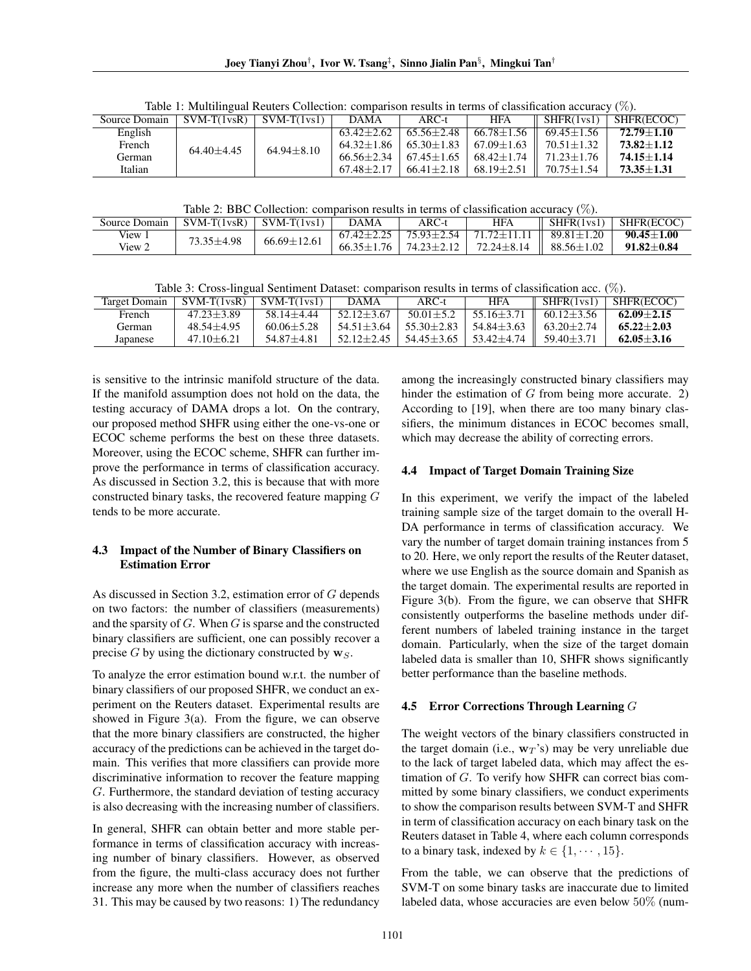Table 1: Multilingual Reuters Collection: comparison results in terms of classification accuracy (%).<br>  $\frac{1}{1}$  SVM-T(1ysR)  $\frac{1}{1}$  SVM-T(1ys1)  $\frac{1}{1}$  DAMA  $\frac{1}{1}$  ARC-t  $\frac{1}{1}$  HFA  $\frac{1}{1}$  SHFR(1ys1)  $\frac{1}{1}$  $\frac{C}{S_{\text{ourea}}\text{Domain}}$   $\frac{C}{SVM_T(1_{\text{ve}}R)}$   $\frac{C}{SVM_T(1_{\text{ve}}R)}$ 

| <b>SULLE DUILAIL</b> | $\mathcal{O}$ V IVI-1 (1 V SIN ) | $3$ V IVI-1 (1 V $511$ | L/MWIA         | ANC-t          | 1117             | $5111$ IN 1951. | <b>SHEWECOU</b> |
|----------------------|----------------------------------|------------------------|----------------|----------------|------------------|-----------------|-----------------|
| English              |                                  |                        | $63.42 + 2.62$ | $65.56 + 2.48$ | $66.78 + 1.56$   | $69.45 + 1.56$  | $72.79 + 1.10$  |
| French               | $64.40 + 4.45$                   | $64.94 \pm 8.10$       | $64.32 + 1.86$ | $65.30 + 1.83$ | $67.09 + 1.63$   | $70.51 + 1.32$  | $73.82 + 1.12$  |
| German               |                                  |                        | $66.56 + 2.34$ | $67.45 + 1.65$ | 68.42+1.74       | $71.23 + 1.76$  | $74.15 + 1.14$  |
| Italian              |                                  |                        | $67.48 + 2.17$ | $66.41 + 2.18$ | $68.19 \pm 2.51$ | $70.75 + 1.54$  | $73.35 + 1.31$  |

Table 2: BBC Collection: comparison results in terms of classification accuracy  $(\%)$ .

| Source Domain | $SVM-T(1\nu sR)$ | $SVM-T(1vs1)$     | <b>DAMA</b>      | $ARC-t$        | <b>HFA</b>                           | SHFR(1vs1)             | SHFR(ECOC)     |
|---------------|------------------|-------------------|------------------|----------------|--------------------------------------|------------------------|----------------|
| View 1        | $+4.98$          | $66.69 \pm 12.61$ | $67.42 \pm 2.25$ | 75.93±2.54     | $71.72 \pm 11.11$                    | $\parallel$ 89.81+1.20 | $90.45 + 1.00$ |
| View 2        |                  |                   | $66.35 + 1.76$   | $74.23 + 2.12$ | $72.24 \pm 8.14$    88.56 $\pm 1.02$ |                        | $91.82+0.84$   |

Table 3: Cross-lingual Sentiment Dataset: comparison results in terms of classification acc. (%).

| Target Domain | $SVM-T(1vsR)$  | $SVM-T(1vs1)$  | <b>DAMA</b>    | $ARC-t$        | <b>HFA</b>     | SHFR(1vs1)     | SHFR(ECOC)     |
|---------------|----------------|----------------|----------------|----------------|----------------|----------------|----------------|
| French        | $47.23 + 3.89$ | $58.14 + 4.44$ | $52.12 + 3.67$ | $50.01 + 5.2$  | $55.16 + 3.71$ | $60.12 + 3.56$ | $62.09 + 2.15$ |
| German)       | $48.54 + 4.95$ | $60.06 + 5.28$ | $54.51 + 3.64$ | $55.30 + 2.83$ | $54.84 + 3.63$ | $63.20 + 2.74$ | $65.22 + 2.03$ |
| Japanese      | $47.10 + 6.21$ | $54.87 + 4.81$ | $52.12 + 2.45$ | 54.45+3.65     | $53.42 + 4.74$ | $59.40 + 3.71$ | $62.05 + 3.16$ |

is sensitive to the intrinsic manifold structure of the data. If the manifold assumption does not hold on the data, the testing accuracy of DAMA drops a lot. On the contrary, our proposed method SHFR using either the one-vs-one or ECOC scheme performs the best on these three datasets. Moreover, using the ECOC scheme, SHFR can further improve the performance in terms of classification accuracy. As discussed in Section 3.2, this is because that with more constructed binary tasks, the recovered feature mapping *G* tends to be more accurate.

### 4.3 Impact of the Number of Binary Classifiers on Estimation Error

As discussed in Section 3.2, estimation error of *G* depends on two factors: the number of classifiers (measurements) and the sparsity of *G*. When *G* is sparse and the constructed binary classifiers are sufficient, one can possibly recover a precise *G* by using the dictionary constructed by  $\mathbf{w}_S$ .

To analyze the error estimation bound w.r.t. the number of binary classifiers of our proposed SHFR, we conduct an experiment on the Reuters dataset. Experimental results are showed in Figure  $3(a)$ . From the figure, we can observe that the more binary classifiers are constructed, the higher accuracy of the predictions can be achieved in the target domain. This verifies that more classifiers can provide more discriminative information to recover the feature mapping *G*. Furthermore, the standard deviation of testing accuracy is also decreasing with the increasing number of classifiers.

In general, SHFR can obtain better and more stable performance in terms of classification accuracy with increasing number of binary classifiers. However, as observed from the figure, the multi-class accuracy does not further increase any more when the number of classifiers reaches 31. This may be caused by two reasons: 1) The redundancy

among the increasingly constructed binary classifiers may hinder the estimation of *G* from being more accurate. 2) According to [19], when there are too many binary classifiers, the minimum distances in ECOC becomes small, which may decrease the ability of correcting errors.

### 4.4 Impact of Target Domain Training Size

In this experiment, we verify the impact of the labeled training sample size of the target domain to the overall H-DA performance in terms of classification accuracy. We vary the number of target domain training instances from 5 to 20. Here, we only report the results of the Reuter dataset, where we use English as the source domain and Spanish as the target domain. The experimental results are reported in Figure 3(b). From the figure, we can observe that SHFR consistently outperforms the baseline methods under different numbers of labeled training instance in the target domain. Particularly, when the size of the target domain labeled data is smaller than 10, SHFR shows significantly better performance than the baseline methods.

### 4.5 Error Corrections Through Learning *G*

The weight vectors of the binary classifiers constructed in the target domain (i.e.,  $w_T$ 's) may be very unreliable due to the lack of target labeled data, which may affect the estimation of *G*. To verify how SHFR can correct bias committed by some binary classifiers, we conduct experiments to show the comparison results between SVM-T and SHFR in term of classification accuracy on each binary task on the Reuters dataset in Table 4, where each column corresponds to a binary task, indexed by  $k \in \{1, \dots, 15\}$ .

From the table, we can observe that the predictions of SVM-T on some binary tasks are inaccurate due to limited labeled data, whose accuracies are even below 50% (num-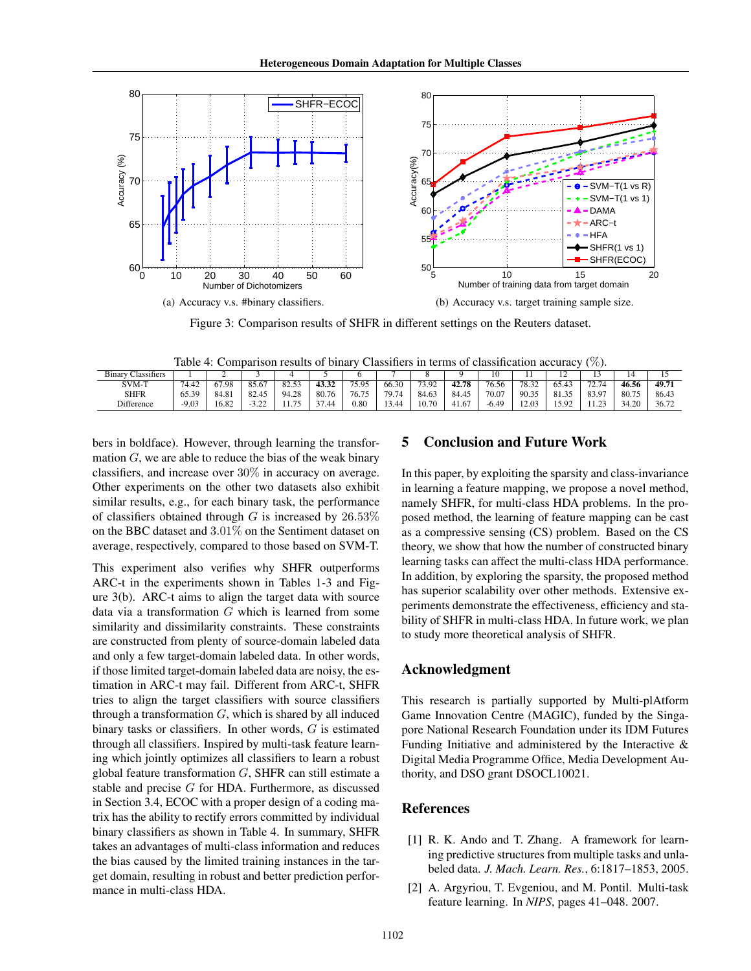

Figure 3: Comparison results of SHFR in different settings on the Reuters dataset.

Table 4: Comparison results of binary Classifiers in terms of classification accuracy (%).

| Binarv<br>$\sim$<br>Classifiers |         | ∼     |           |                             |                    |           |                                       |       |       | 10      |                | ∸                                 |             | 14    | . .   |
|---------------------------------|---------|-------|-----------|-----------------------------|--------------------|-----------|---------------------------------------|-------|-------|---------|----------------|-----------------------------------|-------------|-------|-------|
| SVM-T                           | 74.4.   | 67.98 | 85.67     | $\leq$<br>$\Omega$<br>82.33 | 43.32              | 75.95     | 66.30                                 | 73.92 | 42.78 | 76.56   | $78.3\text{ }$ | 65.4.                             | 72.74       | 46.56 | 49.71 |
| <b>SHFR</b>                     | 65.39   | 84.81 | 82.45     | 94.28                       | 80.76              | 76.75     | $\overline{\phantom{0}}$<br><b>70</b> | 84.63 | 84.45 | 70.07   | 90.35          | O <sub>1</sub><br>$\sim$<br>د. ٥١ | 83.97       | 80.75 | 86.43 |
| Difference                      | $-9.03$ | 6.82  | 22<br>--- | 75<br>.                     | $\sim$ $-$<br>1.44 | $_{0.80}$ | $\overline{A}$<br>- 44                | 10.70 | 41.67 | $-6.49$ | 12.03          | 502                               | $\sim$<br>. | 34.20 | 36.72 |

bers in boldface). However, through learning the transformation *G*, we are able to reduce the bias of the weak binary classifiers, and increase over 30% in accuracy on average. Other experiments on the other two datasets also exhibit similar results, e.g., for each binary task, the performance of classifiers obtained through *G* is increased by 26*.*53% on the BBC dataset and 3*.*01% on the Sentiment dataset on average, respectively, compared to those based on SVM-T.

This experiment also verifies why SHFR outperforms ARC-t in the experiments shown in Tables 1-3 and Figure 3(b). ARC-t aims to align the target data with source data via a transformation *G* which is learned from some similarity and dissimilarity constraints. These constraints are constructed from plenty of source-domain labeled data and only a few target-domain labeled data. In other words, if those limited target-domain labeled data are noisy, the estimation in ARC-t may fail. Different from ARC-t, SHFR tries to align the target classifiers with source classifiers through a transformation *G*, which is shared by all induced binary tasks or classifiers. In other words, *G* is estimated through all classifiers. Inspired by multi-task feature learning which jointly optimizes all classifiers to learn a robust global feature transformation *G*, SHFR can still estimate a stable and precise *G* for HDA. Furthermore, as discussed in Section 3.4, ECOC with a proper design of a coding matrix has the ability to rectify errors committed by individual binary classifiers as shown in Table 4. In summary, SHFR takes an advantages of multi-class information and reduces the bias caused by the limited training instances in the target domain, resulting in robust and better prediction performance in multi-class HDA.

# 5 Conclusion and Future Work

In this paper, by exploiting the sparsity and class-invariance in learning a feature mapping, we propose a novel method, namely SHFR, for multi-class HDA problems. In the proposed method, the learning of feature mapping can be cast as a compressive sensing (CS) problem. Based on the CS theory, we show that how the number of constructed binary learning tasks can affect the multi-class HDA performance. In addition, by exploring the sparsity, the proposed method has superior scalability over other methods. Extensive experiments demonstrate the effectiveness, efficiency and stability of SHFR in multi-class HDA. In future work, we plan to study more theoretical analysis of SHFR.

### Acknowledgment

This research is partially supported by Multi-plAtform Game Innovation Centre (MAGIC), funded by the Singapore National Research Foundation under its IDM Futures Funding Initiative and administered by the Interactive & Digital Media Programme Office, Media Development Authority, and DSO grant DSOCL10021.

### References

- [1] R. K. Ando and T. Zhang. A framework for learning predictive structures from multiple tasks and unlabeled data. *J. Mach. Learn. Res.*, 6:1817–1853, 2005.
- [2] A. Argyriou, T. Evgeniou, and M. Pontil. Multi-task feature learning. In *NIPS*, pages 41–048. 2007.